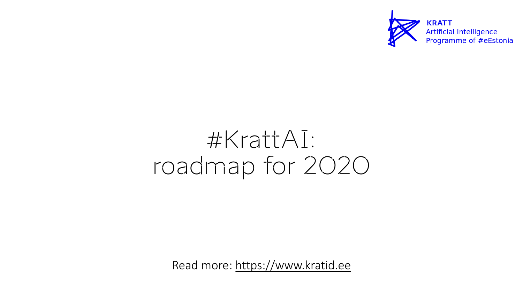## #[KrattAI:](https://www.kratid.ee/burokratt) roadmap for 20

Read more: https://www.kratic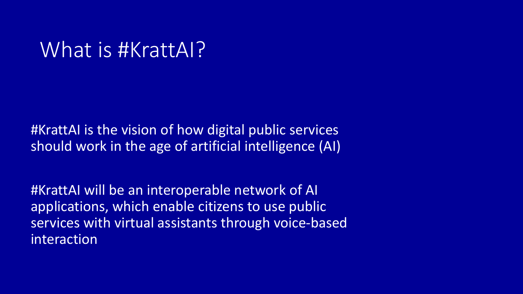#### What is #KrattAI?

#KrattAI is the vision of how digital public services should work in the age of artificial intelligence (AI)

#KrattAI will be an interoperable network of AI applications, which enable citizens to use public services with virtual assistants through voice-based interaction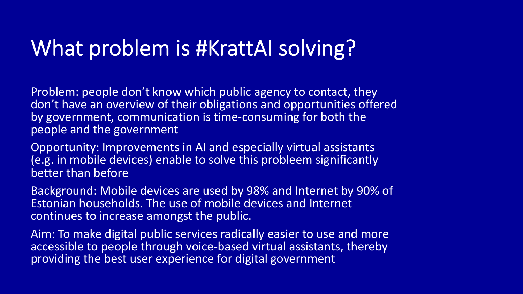## What problem is #KrattAI solving?

Problem: people don't know which public agency to contact, they don't have an overview of their obligations and opportunities offered by government, communication is time-consuming for both the people and the government

Opportunity: Improvements in AI and especially virtual assistants (e.g. in mobile devices) enable to solve this probleem significantly better than before

Background: Mobile devices are used by 98% and Internet by 90% of Estonian households. The use of mobile devices and Internet continues to increase amongst the public.

Aim: To make digital public services radically easier to use and more accessible to people through voice-based virtual assistants, thereby providing the best user experience for digital government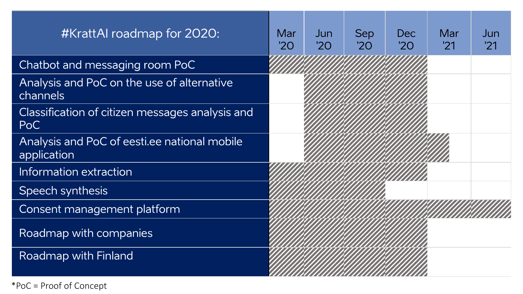| #KrattAI roadmap for 2020:                                  | Mar<br>'20' | Jun<br>'2O | <b>Sep</b><br>'20 | <b>Dec</b><br>'2O' | Mar<br>'21 | Jun<br>'21 |
|-------------------------------------------------------------|-------------|------------|-------------------|--------------------|------------|------------|
| Chatbot and messaging room PoC                              |             |            |                   |                    |            |            |
| Analysis and PoC on the use of alternative<br>channels      |             |            |                   |                    |            |            |
| Classification of citizen messages analysis and<br>PoC      |             |            |                   |                    |            |            |
| Analysis and PoC of eestilee national mobile<br>application |             |            |                   |                    |            |            |
| Information extraction                                      |             |            |                   |                    |            |            |
| Speech synthesis                                            |             |            |                   |                    |            |            |
| Consent management platform                                 |             |            |                   |                    |            |            |
| Roadmap with companies                                      |             |            |                   |                    |            |            |
| <b>Roadmap with Finland</b>                                 |             |            |                   |                    |            |            |

\*PoC = Proof of Concept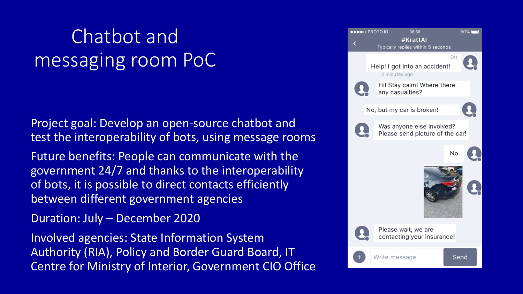### Chatbot and messaging room PoC

Project goal: Develop an open-source chatbot and test the interoperability of bots, using message rooms

Future benefits: People can communicate with the government 24/7 and thanks to the interoperability of bots, it is possible to direct contacts efficiently between different government agencies

Duration: July – December 2020

Involved agencies: State Information System Authority (RIA), Policy and Border Guard Board, IT Centre for Ministry of Interior, Government CIO Office

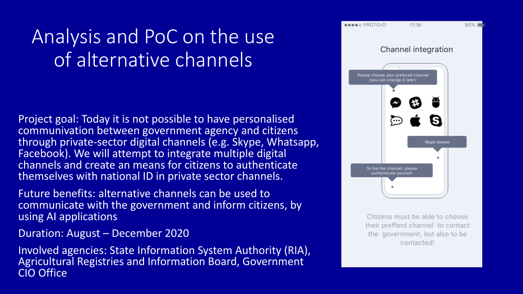### Analysis and PoC on the use of alternative channels

Project goal: Today it is not possible to have personalised communivation between government agency and citizens through private-sector digital channels (e.g. Skype, Whatsapp, Facebook). We will attempt to integrate multiple digital channels and create an means for citizens to authenticate themselves with national ID in private sector channels.

Future benefits: alternative channels can be used to communicate with the government and inform citizens, by using AI applications

Duration: August – December 2020

Involved agencies: State Information System Authority (RIA), Agricultural Registries and Information Board, Government CIO Office



Citizens must be able to choose their prefferd channel to contact the government, but also to be contacted!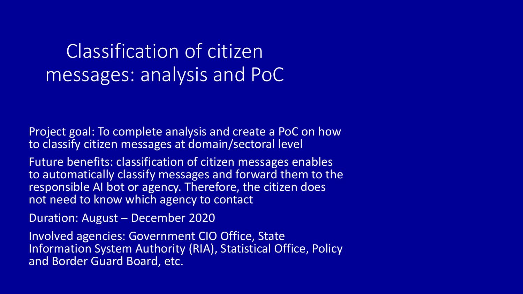#### Classification of citizen messages: analysis and PoC

Project goal: To complete analysis and create a PoC on how to classify citizen messages at domain/sectoral level

Future benefits: classification of citizen messages enables to automatically classify messages and forward them to the responsible AI bot or agency. Therefore, the citizen does not need to know which agency to contact

Duration: August – December 2020

Involved agencies: Government CIO Office, State Information System Authority (RIA), Statistical Office, Policy and Border Guard Board, etc.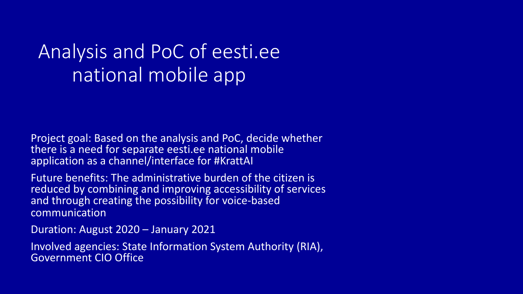#### Analysis and PoC of eesti.ee national mobile app

Project goal: Based on the analysis and PoC, decide whether there is a need for separate eesti.ee national mobile application as a channel/interface for #KrattAI

Future benefits: The administrative burden of the citizen is reduced by combining and improving accessibility of services and through creating the possibility for voice-based communication

Duration: August 2020 – January 2021

Involved agencies: State Information System Authority (RIA), Government CIO Office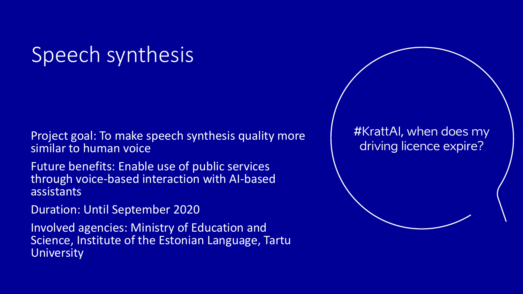## Speech synthesis

Project goal: To make speech synthesis quality more similar to human voice

Future benefits: Enable use of public services through voice-based interaction with AI-based assistants

Duration: Until September 2020

Involved agencies: Ministry of Education and Science, Institute of the Estonian Language, Tartu **University** 

#KrattAI, when does my driving licence expire?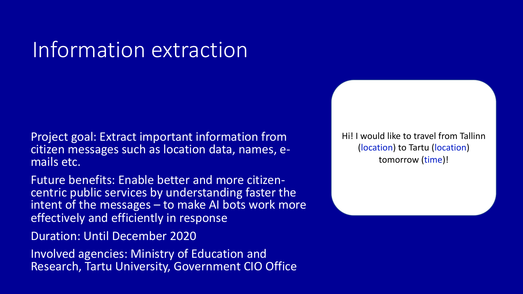## Information extraction

Project goal: Extract important information from citizen messages such as location data, names, e- mails etc.

Future benefits: Enable better and more citizen- centric public services by understanding faster the intent of the messages – to make AI bots work more effectively and efficiently in response

Duration: Until December 2020

Involved agencies: Ministry of Education and Research, Tartu University, Government CIO Office Hi! I would like to travel from Tallinn (location) to Tartu (location) tomorrow (time)!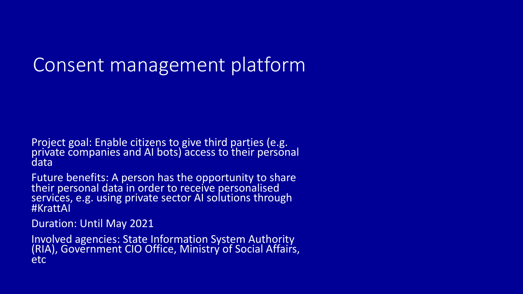#### Consent management platform

Project goal: Enable citizens to give third parties (e.g. <sup>1</sup><br>private companies and AI bots) access to their personal data

Future benefits: A person has the opportunity to share their personal data in order to receive personalised services, e.g. using private sector AI solutions through #KrattAI

Duration: Until May 2021

Involved agencies: State Information System Authority (RIA), Government CIO Office, Ministry of Social Affairs, etc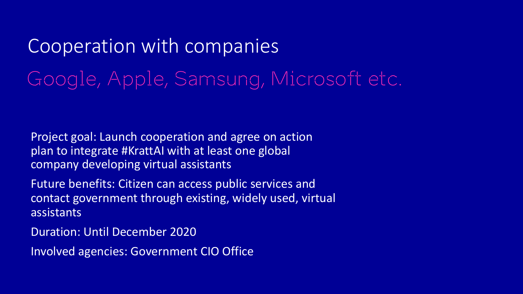## Cooperation with companies Google, Apple, Samsung, Microsoft etc.

Project goal: Launch cooperation and agree on action plan to integrate #KrattAI with at least one global company developing virtual assistants

Future benefits: Citizen can access public services and contact government through existing, widely used, virtual assistants

Duration: Until December 2020

Involved agencies: Government CIO Office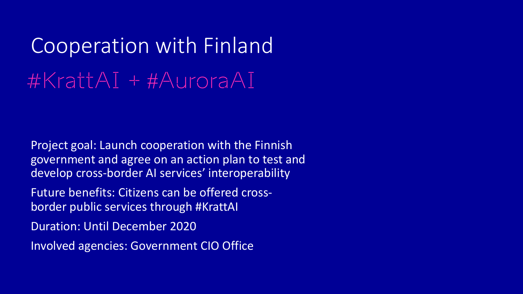# Cooperation with Finland #KrattAI + #AuroraAI

Project goal: Launch cooperation with the Finnish government and agree on an action plan to test and develop cross-border AI services' interoperability

Future benefits: Citizens can be offered crossborder public services through #KrattAI

Duration: Until December 2020

Involved agencies: Government CIO Office